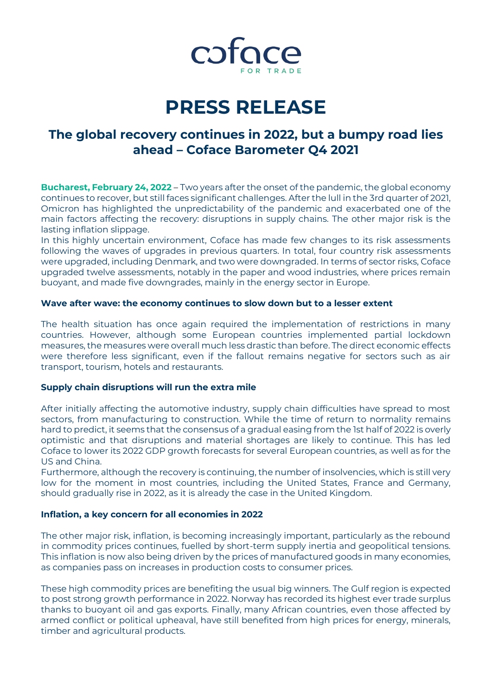

# **PRESS RELEASE**

## **The global recovery continues in 2022, but a bumpy road lies ahead – Coface Barometer Q4 2021**

**Bucharest, February 24, 2022** – Two years after the onset of the pandemic, the global economy continues to recover, but still faces significant challenges. After the lull in the 3rd quarter of 2021, Omicron has highlighted the unpredictability of the pandemic and exacerbated one of the main factors affecting the recovery: disruptions in supply chains. The other major risk is the lasting inflation slippage.

In this highly uncertain environment, Coface has made few changes to its risk assessments following the waves of upgrades in previous quarters. In total, four country risk assessments were upgraded, including Denmark, and two were downgraded. In terms of sector risks, Coface upgraded twelve assessments, notably in the paper and wood industries, where prices remain buoyant, and made five downgrades, mainly in the energy sector in Europe.

### **Wave after wave: the economy continues to slow down but to a lesser extent**

The health situation has once again required the implementation of restrictions in many countries. However, although some European countries implemented partial lockdown measures, the measures were overall much less drastic than before. The direct economic effects were therefore less significant, even if the fallout remains negative for sectors such as air transport, tourism, hotels and restaurants.

### **Supply chain disruptions will run the extra mile**

After initially affecting the automotive industry, supply chain difficulties have spread to most sectors, from manufacturing to construction. While the time of return to normality remains hard to predict, it seems that the consensus of a gradual easing from the 1st half of 2022 is overly optimistic and that disruptions and material shortages are likely to continue. This has led Coface to lower its 2022 GDP growth forecasts for several European countries, as well as for the US and China.

Furthermore, although the recovery is continuing, the number of insolvencies, which is still very low for the moment in most countries, including the United States, France and Germany, should gradually rise in 2022, as it is already the case in the United Kingdom.

### **Inflation, a key concern for all economies in 2022**

The other major risk, inflation, is becoming increasingly important, particularly as the rebound in commodity prices continues, fuelled by short-term supply inertia and geopolitical tensions. This inflation is now also being driven by the prices of manufactured goods in many economies, as companies pass on increases in production costs to consumer prices.

These high commodity prices are benefiting the usual big winners. The Gulf region is expected to post strong growth performance in 2022. Norway has recorded its highest ever trade surplus thanks to buoyant oil and gas exports. Finally, many African countries, even those affected by armed conflict or political upheaval, have still benefited from high prices for energy, minerals, timber and agricultural products.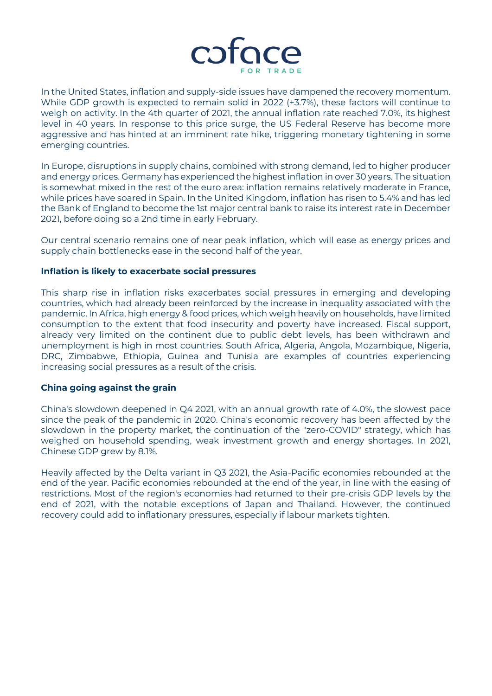

In the United States, inflation and supply-side issues have dampened the recovery momentum. While GDP growth is expected to remain solid in 2022 (+3.7%), these factors will continue to weigh on activity. In the 4th quarter of 2021, the annual inflation rate reached 7.0%, its highest level in 40 years. In response to this price surge, the US Federal Reserve has become more aggressive and has hinted at an imminent rate hike, triggering monetary tightening in some emerging countries.

In Europe, disruptions in supply chains, combined with strong demand, led to higher producer and energy prices. Germany has experienced the highest inflation in over 30 years. The situation is somewhat mixed in the rest of the euro area: inflation remains relatively moderate in France, while prices have soared in Spain. In the United Kingdom, inflation has risen to 5.4% and has led the Bank of England to become the 1st major central bank to raise its interest rate in December 2021, before doing so a 2nd time in early February.

Our central scenario remains one of near peak inflation, which will ease as energy prices and supply chain bottlenecks ease in the second half of the year.

#### **Inflation is likely to exacerbate social pressures**

This sharp rise in inflation risks exacerbates social pressures in emerging and developing countries, which had already been reinforced by the increase in inequality associated with the pandemic. In Africa, high energy & food prices, which weigh heavily on households, have limited consumption to the extent that food insecurity and poverty have increased. Fiscal support, already very limited on the continent due to public debt levels, has been withdrawn and unemployment is high in most countries. South Africa, Algeria, Angola, Mozambique, Nigeria, DRC, Zimbabwe, Ethiopia, Guinea and Tunisia are examples of countries experiencing increasing social pressures as a result of the crisis.

#### **China going against the grain**

China's slowdown deepened in Q4 2021, with an annual growth rate of 4.0%, the slowest pace since the peak of the pandemic in 2020. China's economic recovery has been affected by the slowdown in the property market, the continuation of the "zero-COVID" strategy, which has weighed on household spending, weak investment growth and energy shortages. In 2021, Chinese GDP grew by 8.1%.

Heavily affected by the Delta variant in Q3 2021, the Asia-Pacific economies rebounded at the end of the year. Pacific economies rebounded at the end of the year, in line with the easing of restrictions. Most of the region's economies had returned to their pre-crisis GDP levels by the end of 2021, with the notable exceptions of Japan and Thailand. However, the continued recovery could add to inflationary pressures, especially if labour markets tighten.